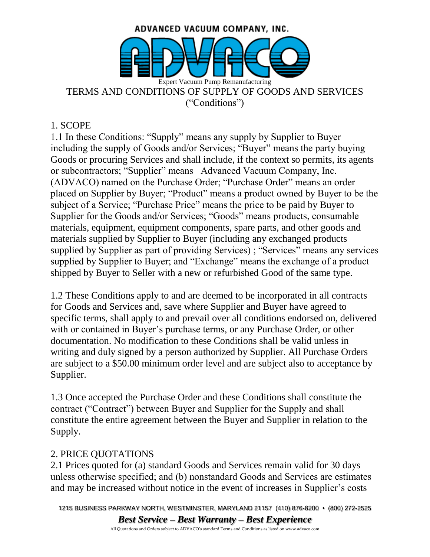

#### 1. SCOPE

1.1 In these Conditions: "Supply" means any supply by Supplier to Buyer including the supply of Goods and/or Services; "Buyer" means the party buying Goods or procuring Services and shall include, if the context so permits, its agents or subcontractors; "Supplier" means Advanced Vacuum Company, Inc. (ADVACO) named on the Purchase Order; "Purchase Order" means an order placed on Supplier by Buyer; "Product" means a product owned by Buyer to be the subject of a Service; "Purchase Price" means the price to be paid by Buyer to Supplier for the Goods and/or Services; "Goods" means products, consumable materials, equipment, equipment components, spare parts, and other goods and materials supplied by Supplier to Buyer (including any exchanged products supplied by Supplier as part of providing Services) ; "Services" means any services supplied by Supplier to Buyer; and "Exchange" means the exchange of a product shipped by Buyer to Seller with a new or refurbished Good of the same type.

1.2 These Conditions apply to and are deemed to be incorporated in all contracts for Goods and Services and, save where Supplier and Buyer have agreed to specific terms, shall apply to and prevail over all conditions endorsed on, delivered with or contained in Buyer's purchase terms, or any Purchase Order, or other documentation. No modification to these Conditions shall be valid unless in writing and duly signed by a person authorized by Supplier. All Purchase Orders are subject to a \$50.00 minimum order level and are subject also to acceptance by Supplier.

1.3 Once accepted the Purchase Order and these Conditions shall constitute the contract ("Contract") between Buyer and Supplier for the Supply and shall constitute the entire agreement between the Buyer and Supplier in relation to the Supply.

#### 2. PRICE QUOTATIONS

2.1 Prices quoted for (a) standard Goods and Services remain valid for 30 days unless otherwise specified; and (b) nonstandard Goods and Services are estimates and may be increased without notice in the event of increases in Supplier's costs

1215 BUSINESS PARKWAY NORTH, WESTMINSTER, MARYLAND 21157 (410) 876-8200 • (800) 272-2525 *Best Service – Best Warranty – Best Experience*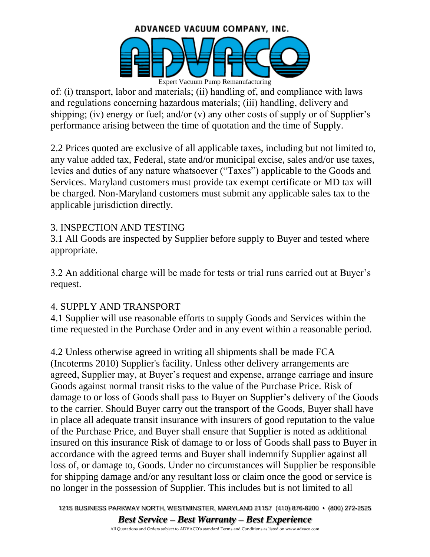# ADVANCED VACUUM COMPANY, INC.



of: (i) transport, labor and materials; (ii) handling of, and compliance with laws and regulations concerning hazardous materials; (iii) handling, delivery and shipping; (iv) energy or fuel; and/or  $(v)$  any other costs of supply or of Supplier's performance arising between the time of quotation and the time of Supply.

2.2 Prices quoted are exclusive of all applicable taxes, including but not limited to, any value added tax, Federal, state and/or municipal excise, sales and/or use taxes, levies and duties of any nature whatsoever ("Taxes") applicable to the Goods and Services. Maryland customers must provide tax exempt certificate or MD tax will be charged. Non-Maryland customers must submit any applicable sales tax to the applicable jurisdiction directly.

## 3. INSPECTION AND TESTING

3.1 All Goods are inspected by Supplier before supply to Buyer and tested where appropriate.

3.2 An additional charge will be made for tests or trial runs carried out at Buyer's request.

## 4. SUPPLY AND TRANSPORT

4.1 Supplier will use reasonable efforts to supply Goods and Services within the time requested in the Purchase Order and in any event within a reasonable period.

4.2 Unless otherwise agreed in writing all shipments shall be made FCA (Incoterms 2010) Supplier's facility. Unless other delivery arrangements are agreed, Supplier may, at Buyer's request and expense, arrange carriage and insure Goods against normal transit risks to the value of the Purchase Price. Risk of damage to or loss of Goods shall pass to Buyer on Supplier's delivery of the Goods to the carrier. Should Buyer carry out the transport of the Goods, Buyer shall have in place all adequate transit insurance with insurers of good reputation to the value of the Purchase Price, and Buyer shall ensure that Supplier is noted as additional insured on this insurance Risk of damage to or loss of Goods shall pass to Buyer in accordance with the agreed terms and Buyer shall indemnify Supplier against all loss of, or damage to, Goods. Under no circumstances will Supplier be responsible for shipping damage and/or any resultant loss or claim once the good or service is no longer in the possession of Supplier. This includes but is not limited to all

1215 BUSINESS PARKWAY NORTH, WESTMINSTER, MARYLAND 21157 (410) 876-8200 • (800) 272-2525 *Best Service – Best Warranty – Best Experience*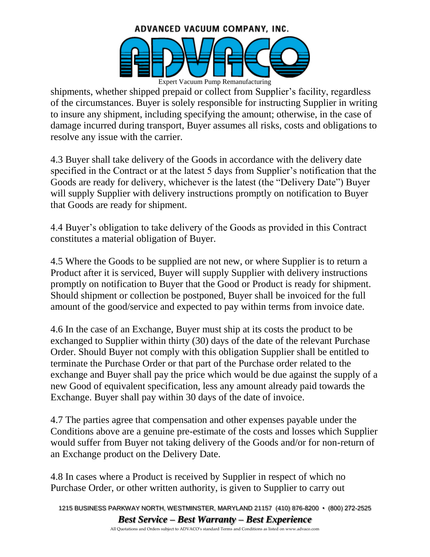

shipments, whether shipped prepaid or collect from Supplier's facility, regardless of the circumstances. Buyer is solely responsible for instructing Supplier in writing to insure any shipment, including specifying the amount; otherwise, in the case of damage incurred during transport, Buyer assumes all risks, costs and obligations to resolve any issue with the carrier.

4.3 Buyer shall take delivery of the Goods in accordance with the delivery date specified in the Contract or at the latest 5 days from Supplier's notification that the Goods are ready for delivery, whichever is the latest (the "Delivery Date") Buyer will supply Supplier with delivery instructions promptly on notification to Buyer that Goods are ready for shipment.

4.4 Buyer's obligation to take delivery of the Goods as provided in this Contract constitutes a material obligation of Buyer.

4.5 Where the Goods to be supplied are not new, or where Supplier is to return a Product after it is serviced, Buyer will supply Supplier with delivery instructions promptly on notification to Buyer that the Good or Product is ready for shipment. Should shipment or collection be postponed, Buyer shall be invoiced for the full amount of the good/service and expected to pay within terms from invoice date.

4.6 In the case of an Exchange, Buyer must ship at its costs the product to be exchanged to Supplier within thirty (30) days of the date of the relevant Purchase Order. Should Buyer not comply with this obligation Supplier shall be entitled to terminate the Purchase Order or that part of the Purchase order related to the exchange and Buyer shall pay the price which would be due against the supply of a new Good of equivalent specification, less any amount already paid towards the Exchange. Buyer shall pay within 30 days of the date of invoice.

4.7 The parties agree that compensation and other expenses payable under the Conditions above are a genuine pre-estimate of the costs and losses which Supplier would suffer from Buyer not taking delivery of the Goods and/or for non-return of an Exchange product on the Delivery Date.

4.8 In cases where a Product is received by Supplier in respect of which no Purchase Order, or other written authority, is given to Supplier to carry out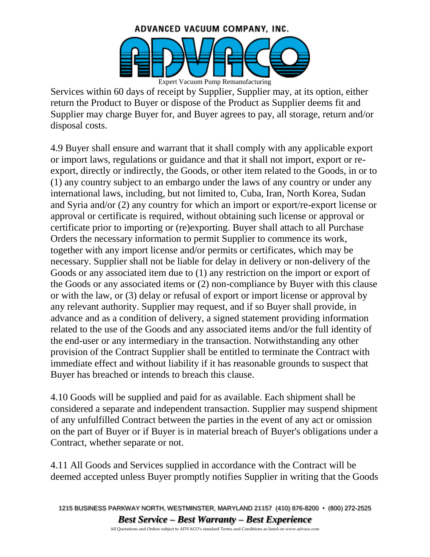

Services within 60 days of receipt by Supplier, Supplier may, at its option, either return the Product to Buyer or dispose of the Product as Supplier deems fit and Supplier may charge Buyer for, and Buyer agrees to pay, all storage, return and/or disposal costs.

4.9 Buyer shall ensure and warrant that it shall comply with any applicable export or import laws, regulations or guidance and that it shall not import, export or reexport, directly or indirectly, the Goods, or other item related to the Goods, in or to (1) any country subject to an embargo under the laws of any country or under any international laws, including, but not limited to, Cuba, Iran, North Korea, Sudan and Syria and/or (2) any country for which an import or export/re-export license or approval or certificate is required, without obtaining such license or approval or certificate prior to importing or (re)exporting. Buyer shall attach to all Purchase Orders the necessary information to permit Supplier to commence its work, together with any import license and/or permits or certificates, which may be necessary. Supplier shall not be liable for delay in delivery or non-delivery of the Goods or any associated item due to (1) any restriction on the import or export of the Goods or any associated items or (2) non-compliance by Buyer with this clause or with the law, or (3) delay or refusal of export or import license or approval by any relevant authority. Supplier may request, and if so Buyer shall provide, in advance and as a condition of delivery, a signed statement providing information related to the use of the Goods and any associated items and/or the full identity of the end-user or any intermediary in the transaction. Notwithstanding any other provision of the Contract Supplier shall be entitled to terminate the Contract with immediate effect and without liability if it has reasonable grounds to suspect that Buyer has breached or intends to breach this clause.

4.10 Goods will be supplied and paid for as available. Each shipment shall be considered a separate and independent transaction. Supplier may suspend shipment of any unfulfilled Contract between the parties in the event of any act or omission on the part of Buyer or if Buyer is in material breach of Buyer's obligations under a Contract, whether separate or not.

4.11 All Goods and Services supplied in accordance with the Contract will be deemed accepted unless Buyer promptly notifies Supplier in writing that the Goods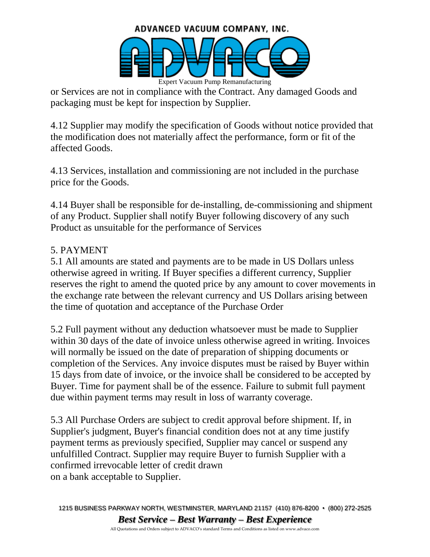

or Services are not in compliance with the Contract. Any damaged Goods and packaging must be kept for inspection by Supplier.

4.12 Supplier may modify the specification of Goods without notice provided that the modification does not materially affect the performance, form or fit of the affected Goods.

4.13 Services, installation and commissioning are not included in the purchase price for the Goods.

4.14 Buyer shall be responsible for de-installing, de-commissioning and shipment of any Product. Supplier shall notify Buyer following discovery of any such Product as unsuitable for the performance of Services

#### 5. PAYMENT

5.1 All amounts are stated and payments are to be made in US Dollars unless otherwise agreed in writing. If Buyer specifies a different currency, Supplier reserves the right to amend the quoted price by any amount to cover movements in the exchange rate between the relevant currency and US Dollars arising between the time of quotation and acceptance of the Purchase Order

5.2 Full payment without any deduction whatsoever must be made to Supplier within 30 days of the date of invoice unless otherwise agreed in writing. Invoices will normally be issued on the date of preparation of shipping documents or completion of the Services. Any invoice disputes must be raised by Buyer within 15 days from date of invoice, or the invoice shall be considered to be accepted by Buyer. Time for payment shall be of the essence. Failure to submit full payment due within payment terms may result in loss of warranty coverage.

5.3 All Purchase Orders are subject to credit approval before shipment. If, in Supplier's judgment, Buyer's financial condition does not at any time justify payment terms as previously specified, Supplier may cancel or suspend any unfulfilled Contract. Supplier may require Buyer to furnish Supplier with a confirmed irrevocable letter of credit drawn on a bank acceptable to Supplier.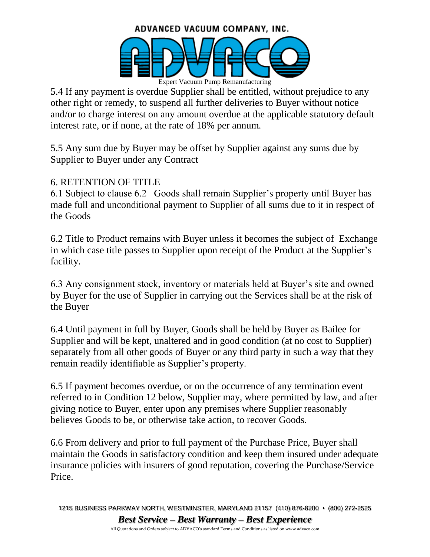#### ADVANCED VACUUM COMPANY, INC.



5.4 If any payment is overdue Supplier shall be entitled, without prejudice to any other right or remedy, to suspend all further deliveries to Buyer without notice and/or to charge interest on any amount overdue at the applicable statutory default interest rate, or if none, at the rate of 18% per annum.

5.5 Any sum due by Buyer may be offset by Supplier against any sums due by Supplier to Buyer under any Contract

### 6. RETENTION OF TITLE

6.1 Subject to clause 6.2 Goods shall remain Supplier's property until Buyer has made full and unconditional payment to Supplier of all sums due to it in respect of the Goods

6.2 Title to Product remains with Buyer unless it becomes the subject of Exchange in which case title passes to Supplier upon receipt of the Product at the Supplier's facility.

6.3 Any consignment stock, inventory or materials held at Buyer's site and owned by Buyer for the use of Supplier in carrying out the Services shall be at the risk of the Buyer

6.4 Until payment in full by Buyer, Goods shall be held by Buyer as Bailee for Supplier and will be kept, unaltered and in good condition (at no cost to Supplier) separately from all other goods of Buyer or any third party in such a way that they remain readily identifiable as Supplier's property.

6.5 If payment becomes overdue, or on the occurrence of any termination event referred to in Condition 12 below, Supplier may, where permitted by law, and after giving notice to Buyer, enter upon any premises where Supplier reasonably believes Goods to be, or otherwise take action, to recover Goods.

6.6 From delivery and prior to full payment of the Purchase Price, Buyer shall maintain the Goods in satisfactory condition and keep them insured under adequate insurance policies with insurers of good reputation, covering the Purchase/Service Price.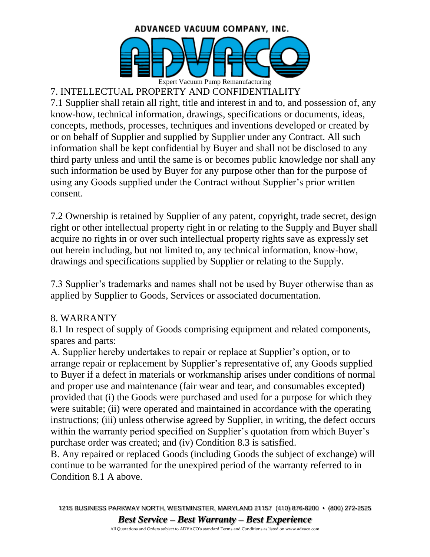

# 7. INTELLECTUAL PROPERTY AND CONFIDENTIALITY

7.1 Supplier shall retain all right, title and interest in and to, and possession of, any know-how, technical information, drawings, specifications or documents, ideas, concepts, methods, processes, techniques and inventions developed or created by or on behalf of Supplier and supplied by Supplier under any Contract. All such information shall be kept confidential by Buyer and shall not be disclosed to any third party unless and until the same is or becomes public knowledge nor shall any such information be used by Buyer for any purpose other than for the purpose of using any Goods supplied under the Contract without Supplier's prior written consent.

7.2 Ownership is retained by Supplier of any patent, copyright, trade secret, design right or other intellectual property right in or relating to the Supply and Buyer shall acquire no rights in or over such intellectual property rights save as expressly set out herein including, but not limited to, any technical information, know-how, drawings and specifications supplied by Supplier or relating to the Supply.

7.3 Supplier's trademarks and names shall not be used by Buyer otherwise than as applied by Supplier to Goods, Services or associated documentation.

#### 8. WARRANTY

8.1 In respect of supply of Goods comprising equipment and related components, spares and parts:

A. Supplier hereby undertakes to repair or replace at Supplier's option, or to arrange repair or replacement by Supplier's representative of, any Goods supplied to Buyer if a defect in materials or workmanship arises under conditions of normal and proper use and maintenance (fair wear and tear, and consumables excepted) provided that (i) the Goods were purchased and used for a purpose for which they were suitable; (ii) were operated and maintained in accordance with the operating instructions; (iii) unless otherwise agreed by Supplier, in writing, the defect occurs within the warranty period specified on Supplier's quotation from which Buyer's purchase order was created; and (iv) Condition 8.3 is satisfied.

B. Any repaired or replaced Goods (including Goods the subject of exchange) will continue to be warranted for the unexpired period of the warranty referred to in Condition 8.1 A above.

1215 BUSINESS PARKWAY NORTH, WESTMINSTER, MARYLAND 21157 (410) 876-8200 • (800) 272-2525 *Best Service – Best Warranty – Best Experience*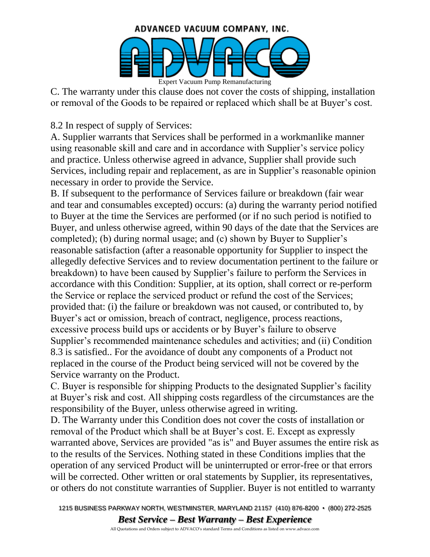

C. The warranty under this clause does not cover the costs of shipping, installation or removal of the Goods to be repaired or replaced which shall be at Buyer's cost.

8.2 In respect of supply of Services:

A. Supplier warrants that Services shall be performed in a workmanlike manner using reasonable skill and care and in accordance with Supplier's service policy and practice. Unless otherwise agreed in advance, Supplier shall provide such Services, including repair and replacement, as are in Supplier's reasonable opinion necessary in order to provide the Service.

B. If subsequent to the performance of Services failure or breakdown (fair wear and tear and consumables excepted) occurs: (a) during the warranty period notified to Buyer at the time the Services are performed (or if no such period is notified to Buyer, and unless otherwise agreed, within 90 days of the date that the Services are completed); (b) during normal usage; and (c) shown by Buyer to Supplier's reasonable satisfaction (after a reasonable opportunity for Supplier to inspect the allegedly defective Services and to review documentation pertinent to the failure or breakdown) to have been caused by Supplier's failure to perform the Services in accordance with this Condition: Supplier, at its option, shall correct or re-perform the Service or replace the serviced product or refund the cost of the Services; provided that: (i) the failure or breakdown was not caused, or contributed to, by Buyer's act or omission, breach of contract, negligence, process reactions, excessive process build ups or accidents or by Buyer's failure to observe Supplier's recommended maintenance schedules and activities; and (ii) Condition 8.3 is satisfied.. For the avoidance of doubt any components of a Product not replaced in the course of the Product being serviced will not be covered by the Service warranty on the Product.

C. Buyer is responsible for shipping Products to the designated Supplier's facility at Buyer's risk and cost. All shipping costs regardless of the circumstances are the responsibility of the Buyer, unless otherwise agreed in writing.

D. The Warranty under this Condition does not cover the costs of installation or removal of the Product which shall be at Buyer's cost. E. Except as expressly warranted above, Services are provided "as is" and Buyer assumes the entire risk as to the results of the Services. Nothing stated in these Conditions implies that the operation of any serviced Product will be uninterrupted or error-free or that errors will be corrected. Other written or oral statements by Supplier, its representatives, or others do not constitute warranties of Supplier. Buyer is not entitled to warranty

1215 BUSINESS PARKWAY NORTH, WESTMINSTER, MARYLAND 21157 (410) 876-8200 • (800) 272-2525 *Best Service – Best Warranty – Best Experience*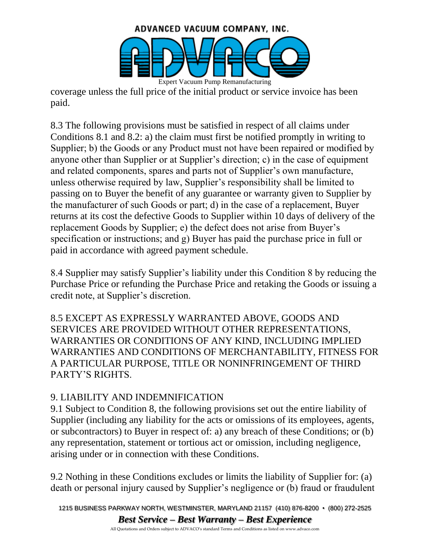

coverage unless the full price of the initial product or service invoice has been paid.

8.3 The following provisions must be satisfied in respect of all claims under Conditions 8.1 and 8.2: a) the claim must first be notified promptly in writing to Supplier; b) the Goods or any Product must not have been repaired or modified by anyone other than Supplier or at Supplier's direction; c) in the case of equipment and related components, spares and parts not of Supplier's own manufacture, unless otherwise required by law, Supplier's responsibility shall be limited to passing on to Buyer the benefit of any guarantee or warranty given to Supplier by the manufacturer of such Goods or part; d) in the case of a replacement, Buyer returns at its cost the defective Goods to Supplier within 10 days of delivery of the replacement Goods by Supplier; e) the defect does not arise from Buyer's specification or instructions; and g) Buyer has paid the purchase price in full or paid in accordance with agreed payment schedule.

8.4 Supplier may satisfy Supplier's liability under this Condition 8 by reducing the Purchase Price or refunding the Purchase Price and retaking the Goods or issuing a credit note, at Supplier's discretion.

8.5 EXCEPT AS EXPRESSLY WARRANTED ABOVE, GOODS AND SERVICES ARE PROVIDED WITHOUT OTHER REPRESENTATIONS, WARRANTIES OR CONDITIONS OF ANY KIND, INCLUDING IMPLIED WARRANTIES AND CONDITIONS OF MERCHANTABILITY, FITNESS FOR A PARTICULAR PURPOSE, TITLE OR NONINFRINGEMENT OF THIRD PARTY'S RIGHTS.

#### 9. LIABILITY AND INDEMNIFICATION

9.1 Subject to Condition 8, the following provisions set out the entire liability of Supplier (including any liability for the acts or omissions of its employees, agents, or subcontractors) to Buyer in respect of: a) any breach of these Conditions; or (b) any representation, statement or tortious act or omission, including negligence, arising under or in connection with these Conditions.

9.2 Nothing in these Conditions excludes or limits the liability of Supplier for: (a) death or personal injury caused by Supplier's negligence or (b) fraud or fraudulent

1215 BUSINESS PARKWAY NORTH, WESTMINSTER, MARYLAND 21157 (410) 876-8200 • (800) 272-2525 *Best Service – Best Warranty – Best Experience*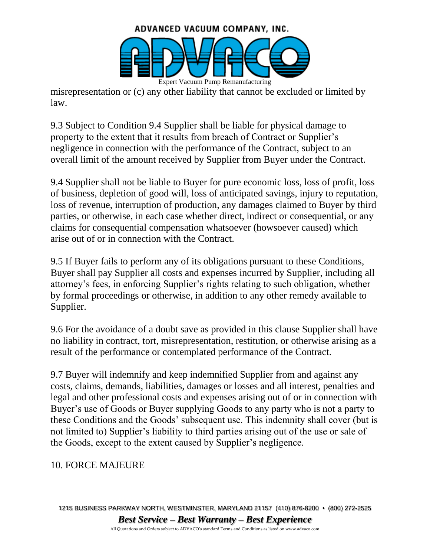

misrepresentation or (c) any other liability that cannot be excluded or limited by law.

9.3 Subject to Condition 9.4 Supplier shall be liable for physical damage to property to the extent that it results from breach of Contract or Supplier's negligence in connection with the performance of the Contract, subject to an overall limit of the amount received by Supplier from Buyer under the Contract.

9.4 Supplier shall not be liable to Buyer for pure economic loss, loss of profit, loss of business, depletion of good will, loss of anticipated savings, injury to reputation, loss of revenue, interruption of production, any damages claimed to Buyer by third parties, or otherwise, in each case whether direct, indirect or consequential, or any claims for consequential compensation whatsoever (howsoever caused) which arise out of or in connection with the Contract.

9.5 If Buyer fails to perform any of its obligations pursuant to these Conditions, Buyer shall pay Supplier all costs and expenses incurred by Supplier, including all attorney's fees, in enforcing Supplier's rights relating to such obligation, whether by formal proceedings or otherwise, in addition to any other remedy available to Supplier.

9.6 For the avoidance of a doubt save as provided in this clause Supplier shall have no liability in contract, tort, misrepresentation, restitution, or otherwise arising as a result of the performance or contemplated performance of the Contract.

9.7 Buyer will indemnify and keep indemnified Supplier from and against any costs, claims, demands, liabilities, damages or losses and all interest, penalties and legal and other professional costs and expenses arising out of or in connection with Buyer's use of Goods or Buyer supplying Goods to any party who is not a party to these Conditions and the Goods' subsequent use. This indemnity shall cover (but is not limited to) Supplier's liability to third parties arising out of the use or sale of the Goods, except to the extent caused by Supplier's negligence.

## 10. FORCE MAJEURE

1215 BUSINESS PARKWAY NORTH, WESTMINSTER, MARYLAND 21157 (410) 876-8200 • (800) 272-2525 *Best Service – Best Warranty – Best Experience*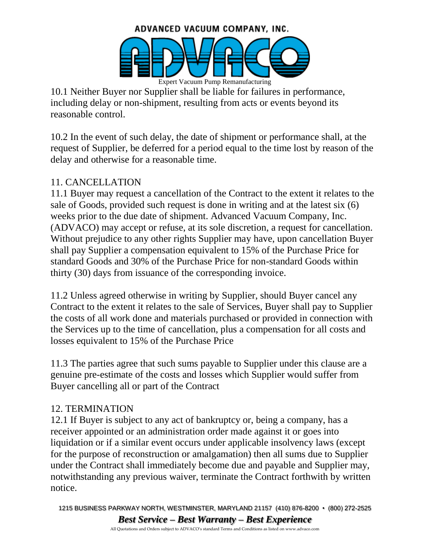

10.1 Neither Buyer nor Supplier shall be liable for failures in performance, including delay or non-shipment, resulting from acts or events beyond its reasonable control.

10.2 In the event of such delay, the date of shipment or performance shall, at the request of Supplier, be deferred for a period equal to the time lost by reason of the delay and otherwise for a reasonable time.

# 11. CANCELLATION

11.1 Buyer may request a cancellation of the Contract to the extent it relates to the sale of Goods, provided such request is done in writing and at the latest six (6) weeks prior to the due date of shipment. Advanced Vacuum Company, Inc. (ADVACO) may accept or refuse, at its sole discretion, a request for cancellation. Without prejudice to any other rights Supplier may have, upon cancellation Buyer shall pay Supplier a compensation equivalent to 15% of the Purchase Price for standard Goods and 30% of the Purchase Price for non-standard Goods within thirty (30) days from issuance of the corresponding invoice.

11.2 Unless agreed otherwise in writing by Supplier, should Buyer cancel any Contract to the extent it relates to the sale of Services, Buyer shall pay to Supplier the costs of all work done and materials purchased or provided in connection with the Services up to the time of cancellation, plus a compensation for all costs and losses equivalent to 15% of the Purchase Price

11.3 The parties agree that such sums payable to Supplier under this clause are a genuine pre-estimate of the costs and losses which Supplier would suffer from Buyer cancelling all or part of the Contract

#### 12. TERMINATION

12.1 If Buyer is subject to any act of bankruptcy or, being a company, has a receiver appointed or an administration order made against it or goes into liquidation or if a similar event occurs under applicable insolvency laws (except for the purpose of reconstruction or amalgamation) then all sums due to Supplier under the Contract shall immediately become due and payable and Supplier may, notwithstanding any previous waiver, terminate the Contract forthwith by written notice.

1215 BUSINESS PARKWAY NORTH, WESTMINSTER, MARYLAND 21157 (410) 876-8200 • (800) 272-2525 *Best Service – Best Warranty – Best Experience*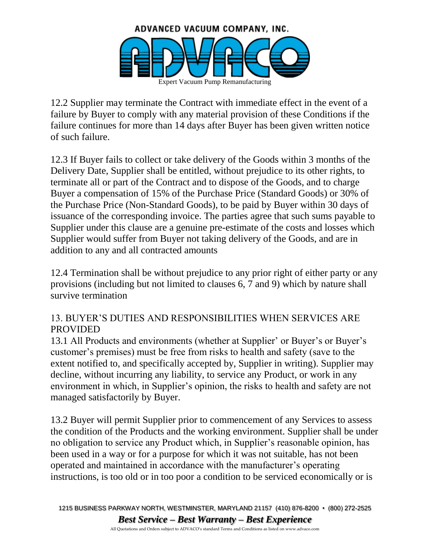

12.2 Supplier may terminate the Contract with immediate effect in the event of a failure by Buyer to comply with any material provision of these Conditions if the failure continues for more than 14 days after Buyer has been given written notice of such failure.

12.3 If Buyer fails to collect or take delivery of the Goods within 3 months of the Delivery Date, Supplier shall be entitled, without prejudice to its other rights, to terminate all or part of the Contract and to dispose of the Goods, and to charge Buyer a compensation of 15% of the Purchase Price (Standard Goods) or 30% of the Purchase Price (Non-Standard Goods), to be paid by Buyer within 30 days of issuance of the corresponding invoice. The parties agree that such sums payable to Supplier under this clause are a genuine pre-estimate of the costs and losses which Supplier would suffer from Buyer not taking delivery of the Goods, and are in addition to any and all contracted amounts

12.4 Termination shall be without prejudice to any prior right of either party or any provisions (including but not limited to clauses 6, 7 and 9) which by nature shall survive termination

### 13. BUYER'S DUTIES AND RESPONSIBILITIES WHEN SERVICES ARE PROVIDED

13.1 All Products and environments (whether at Supplier' or Buyer's or Buyer's customer's premises) must be free from risks to health and safety (save to the extent notified to, and specifically accepted by, Supplier in writing). Supplier may decline, without incurring any liability, to service any Product, or work in any environment in which, in Supplier's opinion, the risks to health and safety are not managed satisfactorily by Buyer.

13.2 Buyer will permit Supplier prior to commencement of any Services to assess the condition of the Products and the working environment. Supplier shall be under no obligation to service any Product which, in Supplier's reasonable opinion, has been used in a way or for a purpose for which it was not suitable, has not been operated and maintained in accordance with the manufacturer's operating instructions, is too old or in too poor a condition to be serviced economically or is

1215 BUSINESS PARKWAY NORTH, WESTMINSTER, MARYLAND 21157 (410) 876-8200 • (800) 272-2525 *Best Service – Best Warranty – Best Experience*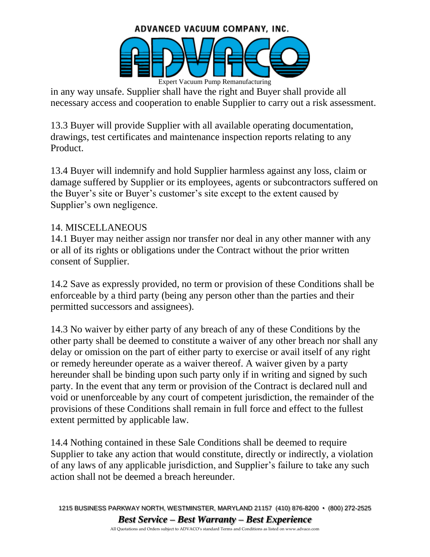#### ADVANCED VACUUM COMPANY, INC.



in any way unsafe. Supplier shall have the right and Buyer shall provide all necessary access and cooperation to enable Supplier to carry out a risk assessment.

13.3 Buyer will provide Supplier with all available operating documentation, drawings, test certificates and maintenance inspection reports relating to any Product.

13.4 Buyer will indemnify and hold Supplier harmless against any loss, claim or damage suffered by Supplier or its employees, agents or subcontractors suffered on the Buyer's site or Buyer's customer's site except to the extent caused by Supplier's own negligence.

#### 14. MISCELLANEOUS

14.1 Buyer may neither assign nor transfer nor deal in any other manner with any or all of its rights or obligations under the Contract without the prior written consent of Supplier.

14.2 Save as expressly provided, no term or provision of these Conditions shall be enforceable by a third party (being any person other than the parties and their permitted successors and assignees).

14.3 No waiver by either party of any breach of any of these Conditions by the other party shall be deemed to constitute a waiver of any other breach nor shall any delay or omission on the part of either party to exercise or avail itself of any right or remedy hereunder operate as a waiver thereof. A waiver given by a party hereunder shall be binding upon such party only if in writing and signed by such party. In the event that any term or provision of the Contract is declared null and void or unenforceable by any court of competent jurisdiction, the remainder of the provisions of these Conditions shall remain in full force and effect to the fullest extent permitted by applicable law.

14.4 Nothing contained in these Sale Conditions shall be deemed to require Supplier to take any action that would constitute, directly or indirectly, a violation of any laws of any applicable jurisdiction, and Supplier's failure to take any such action shall not be deemed a breach hereunder.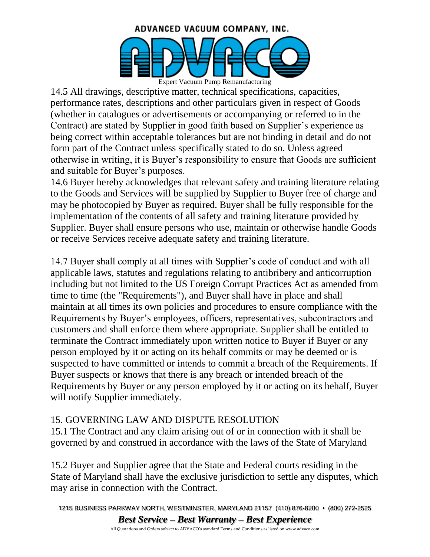

14.5 All drawings, descriptive matter, technical specifications, capacities, performance rates, descriptions and other particulars given in respect of Goods (whether in catalogues or advertisements or accompanying or referred to in the Contract) are stated by Supplier in good faith based on Supplier's experience as being correct within acceptable tolerances but are not binding in detail and do not form part of the Contract unless specifically stated to do so. Unless agreed otherwise in writing, it is Buyer's responsibility to ensure that Goods are sufficient and suitable for Buyer's purposes.

14.6 Buyer hereby acknowledges that relevant safety and training literature relating to the Goods and Services will be supplied by Supplier to Buyer free of charge and may be photocopied by Buyer as required. Buyer shall be fully responsible for the implementation of the contents of all safety and training literature provided by Supplier. Buyer shall ensure persons who use, maintain or otherwise handle Goods or receive Services receive adequate safety and training literature.

14.7 Buyer shall comply at all times with Supplier's code of conduct and with all applicable laws, statutes and regulations relating to antibribery and anticorruption including but not limited to the US Foreign Corrupt Practices Act as amended from time to time (the "Requirements"), and Buyer shall have in place and shall maintain at all times its own policies and procedures to ensure compliance with the Requirements by Buyer's employees, officers, representatives, subcontractors and customers and shall enforce them where appropriate. Supplier shall be entitled to terminate the Contract immediately upon written notice to Buyer if Buyer or any person employed by it or acting on its behalf commits or may be deemed or is suspected to have committed or intends to commit a breach of the Requirements. If Buyer suspects or knows that there is any breach or intended breach of the Requirements by Buyer or any person employed by it or acting on its behalf, Buyer will notify Supplier immediately.

#### 15. GOVERNING LAW AND DISPUTE RESOLUTION

15.1 The Contract and any claim arising out of or in connection with it shall be governed by and construed in accordance with the laws of the State of Maryland

15.2 Buyer and Supplier agree that the State and Federal courts residing in the State of Maryland shall have the exclusive jurisdiction to settle any disputes, which may arise in connection with the Contract.